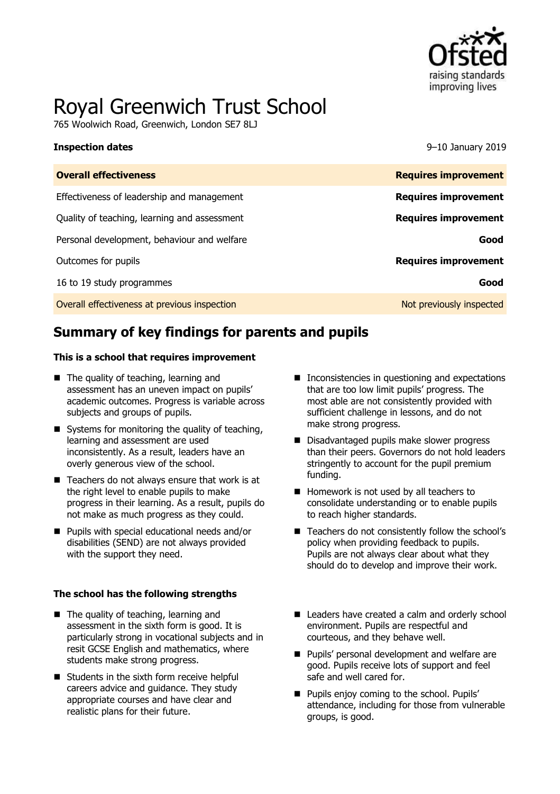

# Royal Greenwich Trust School

765 Woolwich Road, Greenwich, London SE7 8LJ

#### **Inspection dates** 9–10 January 2019

| <b>Overall effectiveness</b>                 | <b>Requires improvement</b> |
|----------------------------------------------|-----------------------------|
| Effectiveness of leadership and management   | <b>Requires improvement</b> |
| Quality of teaching, learning and assessment | <b>Requires improvement</b> |
| Personal development, behaviour and welfare  | Good                        |
| Outcomes for pupils                          | <b>Requires improvement</b> |
| 16 to 19 study programmes                    | Good                        |
| Overall effectiveness at previous inspection | Not previously inspected    |

# **Summary of key findings for parents and pupils**

#### **This is a school that requires improvement**

- The quality of teaching, learning and assessment has an uneven impact on pupils' academic outcomes. Progress is variable across subjects and groups of pupils.
- $\blacksquare$  Systems for monitoring the quality of teaching, learning and assessment are used inconsistently. As a result, leaders have an overly generous view of the school.
- $\blacksquare$  Teachers do not always ensure that work is at the right level to enable pupils to make progress in their learning. As a result, pupils do not make as much progress as they could.
- **Pupils with special educational needs and/or** disabilities (SEND) are not always provided with the support they need.

#### **The school has the following strengths**

- The quality of teaching, learning and assessment in the sixth form is good. It is particularly strong in vocational subjects and in resit GCSE English and mathematics, where students make strong progress.
- Students in the sixth form receive helpful careers advice and guidance. They study appropriate courses and have clear and realistic plans for their future.
- Inconsistencies in questioning and expectations that are too low limit pupils' progress. The most able are not consistently provided with sufficient challenge in lessons, and do not make strong progress.
- Disadvantaged pupils make slower progress than their peers. Governors do not hold leaders stringently to account for the pupil premium funding.
- Homework is not used by all teachers to consolidate understanding or to enable pupils to reach higher standards.
- Teachers do not consistently follow the school's policy when providing feedback to pupils. Pupils are not always clear about what they should do to develop and improve their work.
- Leaders have created a calm and orderly school environment. Pupils are respectful and courteous, and they behave well.
- **Pupils' personal development and welfare are** good. Pupils receive lots of support and feel safe and well cared for.
- **Pupils enjoy coming to the school. Pupils'** attendance, including for those from vulnerable groups, is good.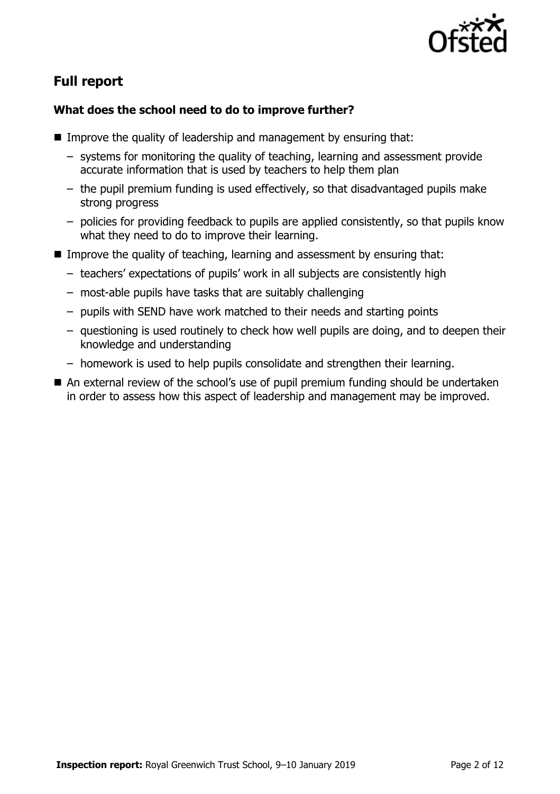

# **Full report**

### **What does the school need to do to improve further?**

- Improve the quality of leadership and management by ensuring that:
	- systems for monitoring the quality of teaching, learning and assessment provide accurate information that is used by teachers to help them plan
	- the pupil premium funding is used effectively, so that disadvantaged pupils make strong progress
	- policies for providing feedback to pupils are applied consistently, so that pupils know what they need to do to improve their learning.
- **IMPROVE THE QUALITY OF TEACHT AND META EXAMPLE IN A THE INCOCONTRALIST IN THE INCOCONTLE IN THE INCOCONTLE INCOCO** 
	- teachers' expectations of pupils' work in all subjects are consistently high
	- most-able pupils have tasks that are suitably challenging
	- pupils with SEND have work matched to their needs and starting points
	- questioning is used routinely to check how well pupils are doing, and to deepen their knowledge and understanding
	- homework is used to help pupils consolidate and strengthen their learning.
- An external review of the school's use of pupil premium funding should be undertaken in order to assess how this aspect of leadership and management may be improved.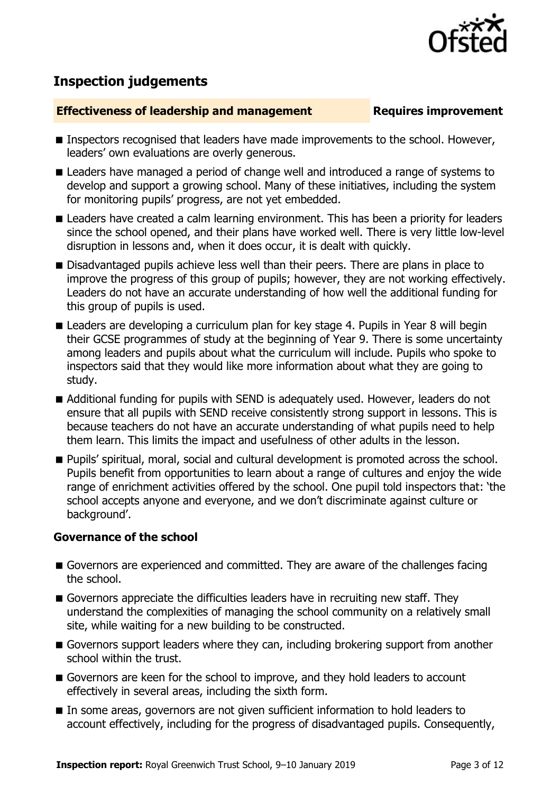

# **Inspection judgements**

#### **Effectiveness of leadership and management Requires improvement**

- **Inspectors recognised that leaders have made improvements to the school. However,** leaders' own evaluations are overly generous.
- **E** Leaders have managed a period of change well and introduced a range of systems to develop and support a growing school. Many of these initiatives, including the system for monitoring pupils' progress, are not yet embedded.
- **E** Leaders have created a calm learning environment. This has been a priority for leaders since the school opened, and their plans have worked well. There is very little low-level disruption in lessons and, when it does occur, it is dealt with quickly.
- Disadvantaged pupils achieve less well than their peers. There are plans in place to improve the progress of this group of pupils; however, they are not working effectively. Leaders do not have an accurate understanding of how well the additional funding for this group of pupils is used.
- Leaders are developing a curriculum plan for key stage 4. Pupils in Year 8 will begin their GCSE programmes of study at the beginning of Year 9. There is some uncertainty among leaders and pupils about what the curriculum will include. Pupils who spoke to inspectors said that they would like more information about what they are going to study.
- Additional funding for pupils with SEND is adequately used. However, leaders do not ensure that all pupils with SEND receive consistently strong support in lessons. This is because teachers do not have an accurate understanding of what pupils need to help them learn. This limits the impact and usefulness of other adults in the lesson.
- Pupils' spiritual, moral, social and cultural development is promoted across the school. Pupils benefit from opportunities to learn about a range of cultures and enjoy the wide range of enrichment activities offered by the school. One pupil told inspectors that: 'the school accepts anyone and everyone, and we don't discriminate against culture or background'.

#### **Governance of the school**

- Governors are experienced and committed. They are aware of the challenges facing the school.
- Governors appreciate the difficulties leaders have in recruiting new staff. They understand the complexities of managing the school community on a relatively small site, while waiting for a new building to be constructed.
- Governors support leaders where they can, including brokering support from another school within the trust.
- Governors are keen for the school to improve, and they hold leaders to account effectively in several areas, including the sixth form.
- In some areas, governors are not given sufficient information to hold leaders to account effectively, including for the progress of disadvantaged pupils. Consequently,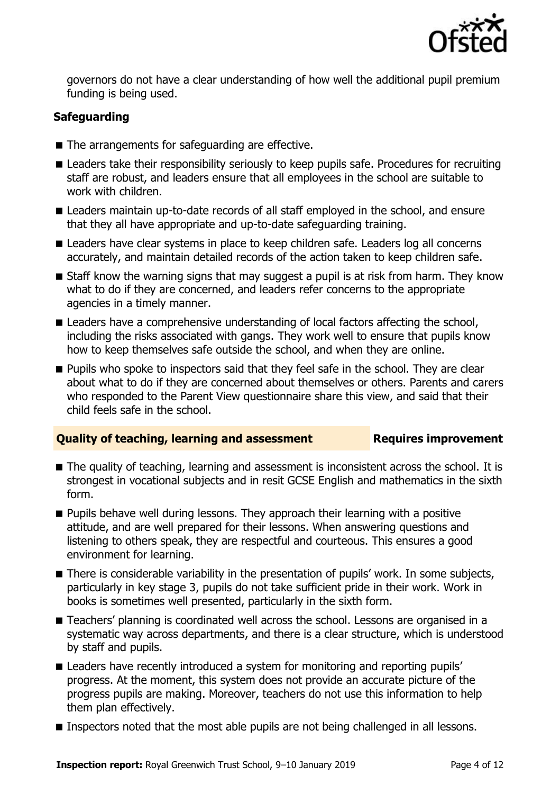

governors do not have a clear understanding of how well the additional pupil premium funding is being used.

### **Safeguarding**

- The arrangements for safeguarding are effective.
- **E** Leaders take their responsibility seriously to keep pupils safe. Procedures for recruiting staff are robust, and leaders ensure that all employees in the school are suitable to work with children.
- Leaders maintain up-to-date records of all staff employed in the school, and ensure that they all have appropriate and up-to-date safeguarding training.
- Leaders have clear systems in place to keep children safe. Leaders log all concerns accurately, and maintain detailed records of the action taken to keep children safe.
- Staff know the warning signs that may suggest a pupil is at risk from harm. They know what to do if they are concerned, and leaders refer concerns to the appropriate agencies in a timely manner.
- Leaders have a comprehensive understanding of local factors affecting the school, including the risks associated with gangs. They work well to ensure that pupils know how to keep themselves safe outside the school, and when they are online.
- **Pupils who spoke to inspectors said that they feel safe in the school. They are clear** about what to do if they are concerned about themselves or others. Parents and carers who responded to the Parent View questionnaire share this view, and said that their child feels safe in the school.

#### **Quality of teaching, learning and assessment Figures improvement**

- The quality of teaching, learning and assessment is inconsistent across the school. It is strongest in vocational subjects and in resit GCSE English and mathematics in the sixth form.
- **Pupils behave well during lessons. They approach their learning with a positive** attitude, and are well prepared for their lessons. When answering questions and listening to others speak, they are respectful and courteous. This ensures a good environment for learning.
- There is considerable variability in the presentation of pupils' work. In some subjects, particularly in key stage 3, pupils do not take sufficient pride in their work. Work in books is sometimes well presented, particularly in the sixth form.
- Teachers' planning is coordinated well across the school. Lessons are organised in a systematic way across departments, and there is a clear structure, which is understood by staff and pupils.
- **E** Leaders have recently introduced a system for monitoring and reporting pupils' progress. At the moment, this system does not provide an accurate picture of the progress pupils are making. Moreover, teachers do not use this information to help them plan effectively.
- **Inspectors noted that the most able pupils are not being challenged in all lessons.**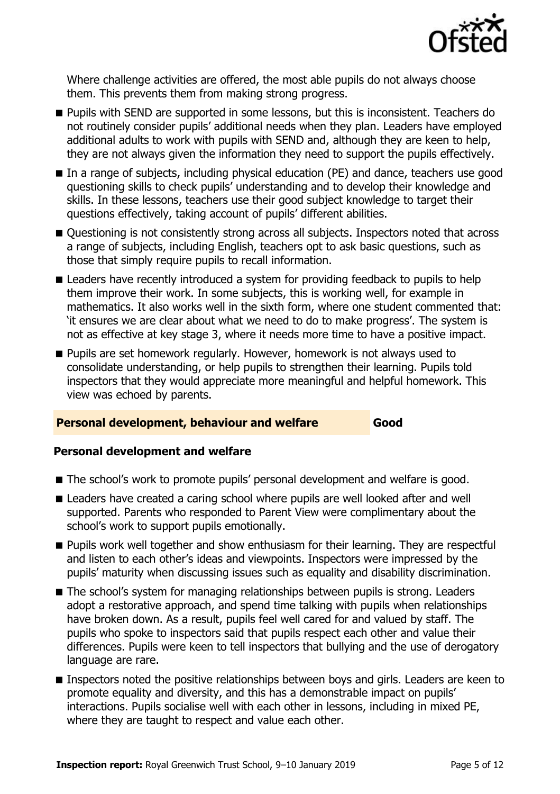

Where challenge activities are offered, the most able pupils do not always choose them. This prevents them from making strong progress.

- **Pupils with SEND are supported in some lessons, but this is inconsistent. Teachers do** not routinely consider pupils' additional needs when they plan. Leaders have employed additional adults to work with pupils with SEND and, although they are keen to help, they are not always given the information they need to support the pupils effectively.
- In a range of subjects, including physical education (PE) and dance, teachers use good questioning skills to check pupils' understanding and to develop their knowledge and skills. In these lessons, teachers use their good subject knowledge to target their questions effectively, taking account of pupils' different abilities.
- Questioning is not consistently strong across all subjects. Inspectors noted that across a range of subjects, including English, teachers opt to ask basic questions, such as those that simply require pupils to recall information.
- Leaders have recently introduced a system for providing feedback to pupils to help them improve their work. In some subjects, this is working well, for example in mathematics. It also works well in the sixth form, where one student commented that: 'it ensures we are clear about what we need to do to make progress'. The system is not as effective at key stage 3, where it needs more time to have a positive impact.
- **Pupils are set homework regularly. However, homework is not always used to** consolidate understanding, or help pupils to strengthen their learning. Pupils told inspectors that they would appreciate more meaningful and helpful homework. This view was echoed by parents.

#### **Personal development, behaviour and welfare <b>Cood**

#### **Personal development and welfare**

- The school's work to promote pupils' personal development and welfare is good.
- Leaders have created a caring school where pupils are well looked after and well supported. Parents who responded to Parent View were complimentary about the school's work to support pupils emotionally.
- **Pupils work well together and show enthusiasm for their learning. They are respectful** and listen to each other's ideas and viewpoints. Inspectors were impressed by the pupils' maturity when discussing issues such as equality and disability discrimination.
- The school's system for managing relationships between pupils is strong. Leaders adopt a restorative approach, and spend time talking with pupils when relationships have broken down. As a result, pupils feel well cared for and valued by staff. The pupils who spoke to inspectors said that pupils respect each other and value their differences. Pupils were keen to tell inspectors that bullying and the use of derogatory language are rare.
- **Inspectors noted the positive relationships between boys and girls. Leaders are keen to** promote equality and diversity, and this has a demonstrable impact on pupils' interactions. Pupils socialise well with each other in lessons, including in mixed PE, where they are taught to respect and value each other.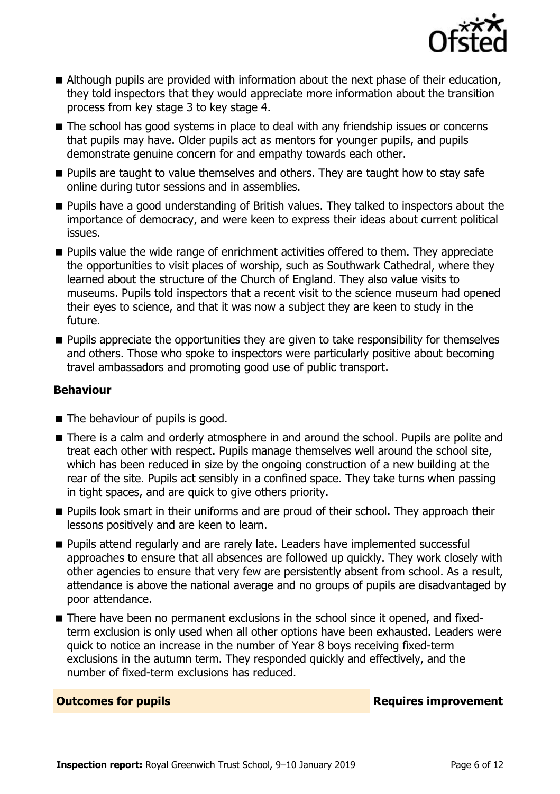

- Although pupils are provided with information about the next phase of their education, they told inspectors that they would appreciate more information about the transition process from key stage 3 to key stage 4.
- The school has good systems in place to deal with any friendship issues or concerns that pupils may have. Older pupils act as mentors for younger pupils, and pupils demonstrate genuine concern for and empathy towards each other.
- **Pupils are taught to value themselves and others. They are taught how to stay safe** online during tutor sessions and in assemblies.
- **Pupils have a good understanding of British values. They talked to inspectors about the** importance of democracy, and were keen to express their ideas about current political issues.
- **Pupils value the wide range of enrichment activities offered to them. They appreciate** the opportunities to visit places of worship, such as Southwark Cathedral, where they learned about the structure of the Church of England. They also value visits to museums. Pupils told inspectors that a recent visit to the science museum had opened their eyes to science, and that it was now a subject they are keen to study in the future.
- **Pupils appreciate the opportunities they are given to take responsibility for themselves** and others. Those who spoke to inspectors were particularly positive about becoming travel ambassadors and promoting good use of public transport.

#### **Behaviour**

- The behaviour of pupils is good.
- There is a calm and orderly atmosphere in and around the school. Pupils are polite and treat each other with respect. Pupils manage themselves well around the school site, which has been reduced in size by the ongoing construction of a new building at the rear of the site. Pupils act sensibly in a confined space. They take turns when passing in tight spaces, and are quick to give others priority.
- **Pupils look smart in their uniforms and are proud of their school. They approach their** lessons positively and are keen to learn.
- **Pupils attend regularly and are rarely late. Leaders have implemented successful** approaches to ensure that all absences are followed up quickly. They work closely with other agencies to ensure that very few are persistently absent from school. As a result, attendance is above the national average and no groups of pupils are disadvantaged by poor attendance.
- There have been no permanent exclusions in the school since it opened, and fixedterm exclusion is only used when all other options have been exhausted. Leaders were quick to notice an increase in the number of Year 8 boys receiving fixed-term exclusions in the autumn term. They responded quickly and effectively, and the number of fixed-term exclusions has reduced.

**Outcomes for pupils Requires improvement**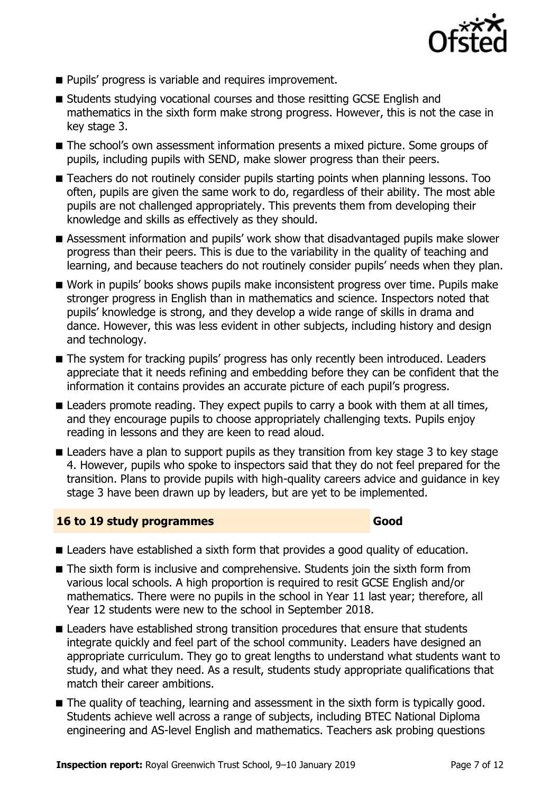

- **Pupils' progress is variable and requires improvement.**
- Students studying vocational courses and those resitting GCSE English and mathematics in the sixth form make strong progress. However, this is not the case in key stage 3.
- The school's own assessment information presents a mixed picture. Some groups of pupils, including pupils with SEND, make slower progress than their peers.
- Teachers do not routinely consider pupils starting points when planning lessons. Too often, pupils are given the same work to do, regardless of their ability. The most able pupils are not challenged appropriately. This prevents them from developing their knowledge and skills as effectively as they should.
- Assessment information and pupils' work show that disadvantaged pupils make slower progress than their peers. This is due to the variability in the quality of teaching and learning, and because teachers do not routinely consider pupils' needs when they plan.
- Work in pupils' books shows pupils make inconsistent progress over time. Pupils make stronger progress in English than in mathematics and science. Inspectors noted that pupils' knowledge is strong, and they develop a wide range of skills in drama and dance. However, this was less evident in other subjects, including history and design and technology.
- The system for tracking pupils' progress has only recently been introduced. Leaders appreciate that it needs refining and embedding before they can be confident that the information it contains provides an accurate picture of each pupil's progress.
- **E** Leaders promote reading. They expect pupils to carry a book with them at all times, and they encourage pupils to choose appropriately challenging texts. Pupils enjoy reading in lessons and they are keen to read aloud.
- **E** Leaders have a plan to support pupils as they transition from key stage 3 to key stage 4. However, pupils who spoke to inspectors said that they do not feel prepared for the transition. Plans to provide pupils with high-quality careers advice and guidance in key stage 3 have been drawn up by leaders, but are yet to be implemented.

#### **16 to 19 study programmes Good**

- **E** Leaders have established a sixth form that provides a good quality of education.
- The sixth form is inclusive and comprehensive. Students join the sixth form from various local schools. A high proportion is required to resit GCSE English and/or mathematics. There were no pupils in the school in Year 11 last year; therefore, all Year 12 students were new to the school in September 2018.
- **E** Leaders have established strong transition procedures that ensure that students integrate quickly and feel part of the school community. Leaders have designed an appropriate curriculum. They go to great lengths to understand what students want to study, and what they need. As a result, students study appropriate qualifications that match their career ambitions.
- The quality of teaching, learning and assessment in the sixth form is typically good. Students achieve well across a range of subjects, including BTEC National Diploma engineering and AS-level English and mathematics. Teachers ask probing questions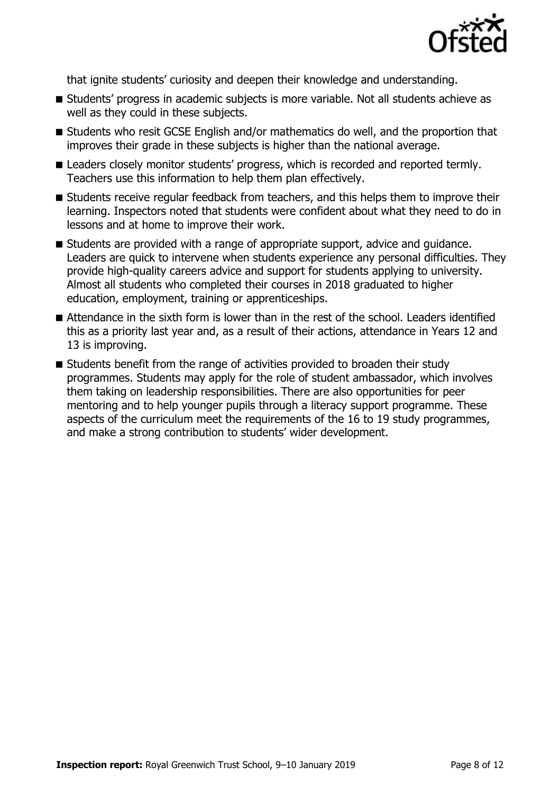

that ignite students' curiosity and deepen their knowledge and understanding.

- Students' progress in academic subjects is more variable. Not all students achieve as well as they could in these subjects.
- Students who resit GCSE English and/or mathematics do well, and the proportion that improves their grade in these subjects is higher than the national average.
- **E** Leaders closely monitor students' progress, which is recorded and reported termly. Teachers use this information to help them plan effectively.
- Students receive regular feedback from teachers, and this helps them to improve their learning. Inspectors noted that students were confident about what they need to do in lessons and at home to improve their work.
- Students are provided with a range of appropriate support, advice and guidance. Leaders are quick to intervene when students experience any personal difficulties. They provide high-quality careers advice and support for students applying to university. Almost all students who completed their courses in 2018 graduated to higher education, employment, training or apprenticeships.
- Attendance in the sixth form is lower than in the rest of the school. Leaders identified this as a priority last year and, as a result of their actions, attendance in Years 12 and 13 is improving.
- Students benefit from the range of activities provided to broaden their study programmes. Students may apply for the role of student ambassador, which involves them taking on leadership responsibilities. There are also opportunities for peer mentoring and to help younger pupils through a literacy support programme. These aspects of the curriculum meet the requirements of the 16 to 19 study programmes, and make a strong contribution to students' wider development.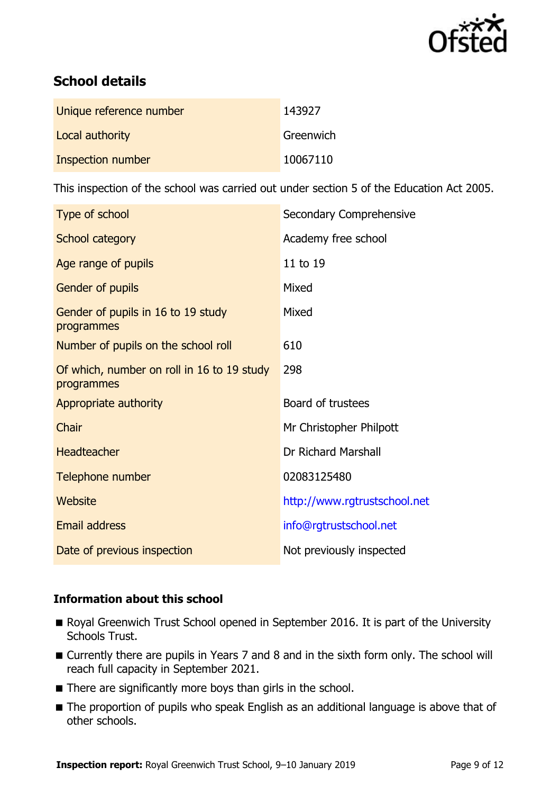

# **School details**

| Unique reference number | 143927    |
|-------------------------|-----------|
| Local authority         | Greenwich |
| Inspection number       | 10067110  |

This inspection of the school was carried out under section 5 of the Education Act 2005.

| Type of school                                           | Secondary Comprehensive      |
|----------------------------------------------------------|------------------------------|
| School category                                          | Academy free school          |
| Age range of pupils                                      | 11 to 19                     |
| Gender of pupils                                         | Mixed                        |
| Gender of pupils in 16 to 19 study<br>programmes         | Mixed                        |
| Number of pupils on the school roll                      | 610                          |
| Of which, number on roll in 16 to 19 study<br>programmes | 298                          |
| Appropriate authority                                    | Board of trustees            |
| Chair                                                    | Mr Christopher Philpott      |
| <b>Headteacher</b>                                       | Dr Richard Marshall          |
| Telephone number                                         | 02083125480                  |
| Website                                                  | http://www.rgtrustschool.net |
| <b>Email address</b>                                     | info@rgtrustschool.net       |
| Date of previous inspection                              | Not previously inspected     |

#### **Information about this school**

- Royal Greenwich Trust School opened in September 2016. It is part of the University Schools Trust.
- Currently there are pupils in Years 7 and 8 and in the sixth form only. The school will reach full capacity in September 2021.
- There are significantly more boys than girls in the school.
- The proportion of pupils who speak English as an additional language is above that of other schools.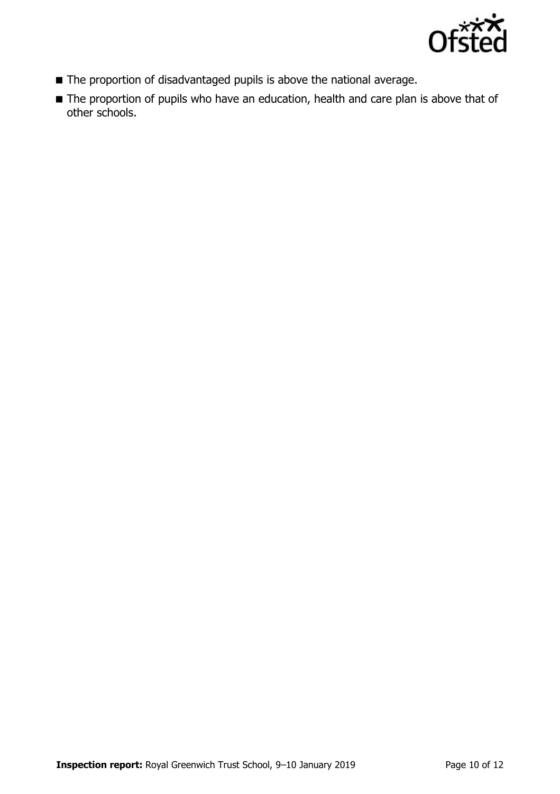

- The proportion of disadvantaged pupils is above the national average.
- The proportion of pupils who have an education, health and care plan is above that of other schools.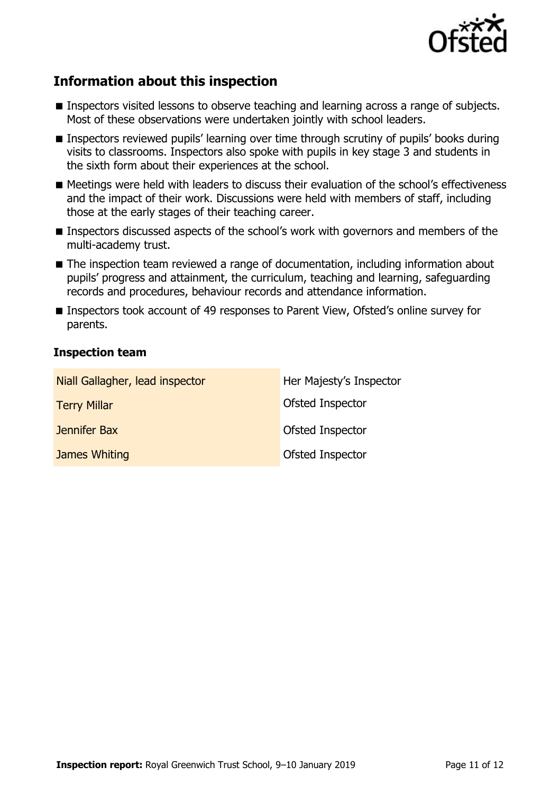

# **Information about this inspection**

- Inspectors visited lessons to observe teaching and learning across a range of subjects. Most of these observations were undertaken jointly with school leaders.
- Inspectors reviewed pupils' learning over time through scrutiny of pupils' books during visits to classrooms. Inspectors also spoke with pupils in key stage 3 and students in the sixth form about their experiences at the school.
- Meetings were held with leaders to discuss their evaluation of the school's effectiveness and the impact of their work. Discussions were held with members of staff, including those at the early stages of their teaching career.
- **Inspectors discussed aspects of the school's work with governors and members of the** multi-academy trust.
- The inspection team reviewed a range of documentation, including information about pupils' progress and attainment, the curriculum, teaching and learning, safeguarding records and procedures, behaviour records and attendance information.
- Inspectors took account of 49 responses to Parent View, Ofsted's online survey for parents.

#### **Inspection team**

| Niall Gallagher, lead inspector | Her Majesty's Inspector |
|---------------------------------|-------------------------|
| <b>Terry Millar</b>             | Ofsted Inspector        |
| Jennifer Bax                    | Ofsted Inspector        |
| James Whiting                   | Ofsted Inspector        |